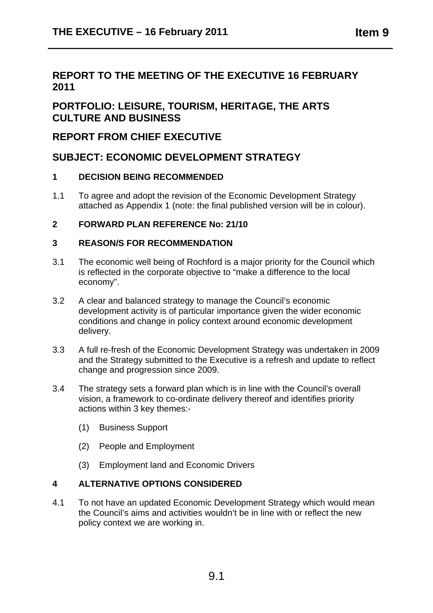# **REPORT TO THE MEETING OF THE EXECUTIVE 16 FEBRUARY 2011**

# **PORTFOLIO: LEISURE, TOURISM, HERITAGE, THE ARTS CULTURE AND BUSINESS**

# **REPORT FROM CHIEF EXECUTIVE**

# **SUBJECT: ECONOMIC DEVELOPMENT STRATEGY**

# **1 DECISION BEING RECOMMENDED**

1.1 To agree and adopt the revision of the Economic Development Strategy attached as Appendix 1 (note: the final published version will be in colour).

# **2 FORWARD PLAN REFERENCE No: 21/10**

## **3 REASON/S FOR RECOMMENDATION**

- 3.1 The economic well being of Rochford is a major priority for the Council which is reflected in the corporate objective to "make a difference to the local economy".
- 3.2 A clear and balanced strategy to manage the Council's economic development activity is of particular importance given the wider economic conditions and change in policy context around economic development delivery.
- 3.3 A full re-fresh of the Economic Development Strategy was undertaken in 2009 and the Strategy submitted to the Executive is a refresh and update to reflect change and progression since 2009.
- 3.4 The strategy sets a forward plan which is in line with the Council's overall vision, a framework to co-ordinate delivery thereof and identifies priority actions within 3 key themes:-
	- (1) Business Support
	- (2) People and Employment
	- (3) Employment land and Economic Drivers

# **4 ALTERNATIVE OPTIONS CONSIDERED**

4.1 To not have an updated Economic Development Strategy which would mean the Council's aims and activities wouldn't be in line with or reflect the new policy context we are working in.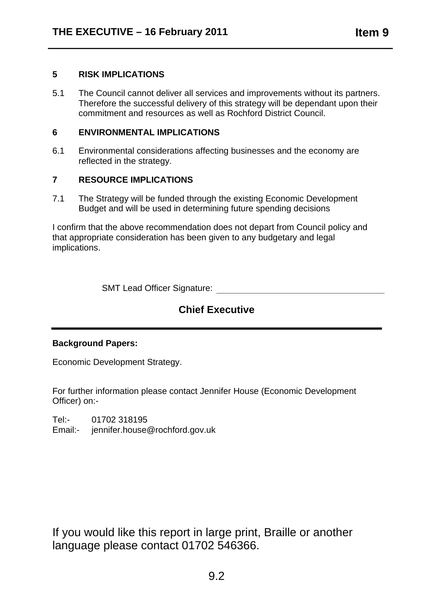5.1 The Council cannot deliver all services and improvements without its partners. Therefore the successful delivery of this strategy will be dependant upon their commitment and resources as well as Rochford District Council.

#### **6 ENVIRONMENTAL IMPLICATIONS**

6.1 Environmental considerations affecting businesses and the economy are reflected in the strategy.

# **7 RESOURCE IMPLICATIONS**

7.1 The Strategy will be funded through the existing Economic Development Budget and will be used in determining future spending decisions

I confirm that the above recommendation does not depart from Council policy and that appropriate consideration has been given to any budgetary and legal implications.

SMT Lead Officer Signature:

# **Chief Executive**

## **Background Papers:**

Economic Development Strategy.

For further information please contact Jennifer House (Economic Development Officer) on:-

Tel:- 01702 318195

Email:- jennifer.house@rochford.gov.uk

If you would like this report in large print, Braille or another language please contact 01702 546366.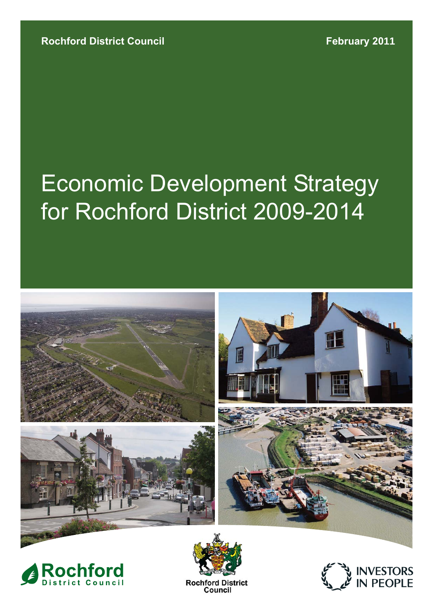# for Rochford District 2009-2014 Economic Development Strategy







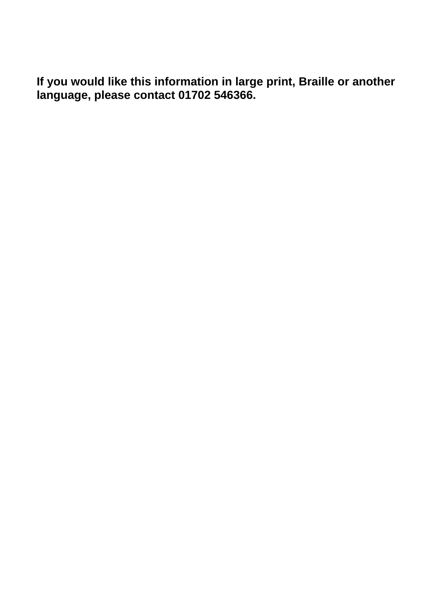**If you would like this information in large print, Braille or another language, please contact 01702 546366.**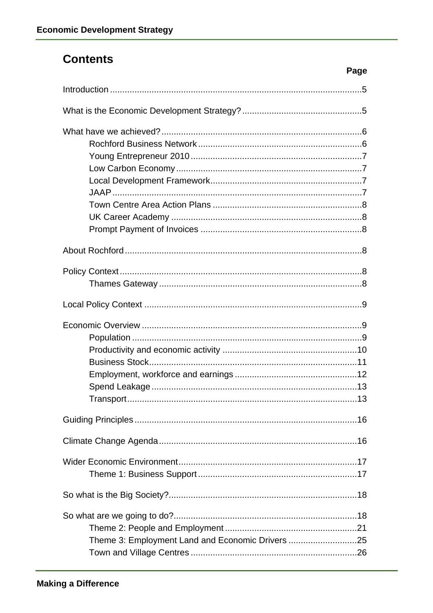# **Contents**

| Page                                             |
|--------------------------------------------------|
|                                                  |
|                                                  |
|                                                  |
|                                                  |
|                                                  |
|                                                  |
|                                                  |
|                                                  |
|                                                  |
|                                                  |
|                                                  |
| Theme 3: Employment Land and Economic Drivers 25 |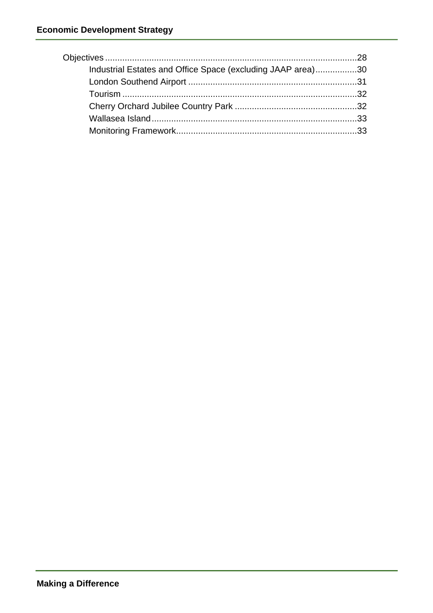| Industrial Estates and Office Space (excluding JAAP area)30 |  |
|-------------------------------------------------------------|--|
|                                                             |  |
|                                                             |  |
|                                                             |  |
|                                                             |  |
|                                                             |  |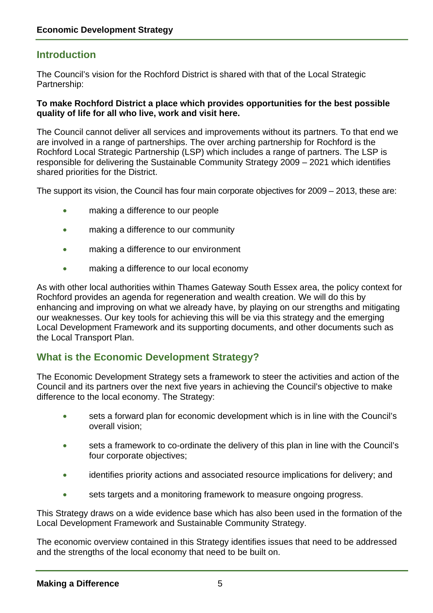# **Introduction**

The Council's vision for the Rochford District is shared with that of the Local Strategic Partnership:

#### **To make Rochford District a place which provides opportunities for the best possible quality of life for all who live, work and visit here.**

The Council cannot deliver all services and improvements without its partners. To that end we are involved in a range of partnerships. The over arching partnership for Rochford is the Rochford Local Strategic Partnership (LSP) which includes a range of partners. The LSP is responsible for delivering the Sustainable Community Strategy 2009 – 2021 which identifies shared priorities for the District.

The support its vision, the Council has four main corporate objectives for 2009 – 2013, these are:

- making a difference to our people
- making a difference to our community
- making a difference to our environment
- making a difference to our local economy

As with other local authorities within Thames Gateway South Essex area, the policy context for Rochford provides an agenda for regeneration and wealth creation. We will do this by enhancing and improving on what we already have, by playing on our strengths and mitigating our weaknesses. Our key tools for achieving this will be via this strategy and the emerging Local Development Framework and its supporting documents, and other documents such as the Local Transport Plan.

# **What is the Economic Development Strategy?**

The Economic Development Strategy sets a framework to steer the activities and action of the Council and its partners over the next five years in achieving the Council's objective to make difference to the local economy. The Strategy:

- sets a forward plan for economic development which is in line with the Council's overall vision;
- sets a framework to co-ordinate the delivery of this plan in line with the Council's four corporate objectives;
- identifies priority actions and associated resource implications for delivery; and
- sets targets and a monitoring framework to measure ongoing progress.

This Strategy draws on a wide evidence base which has also been used in the formation of the Local Development Framework and Sustainable Community Strategy.

The economic overview contained in this Strategy identifies issues that need to be addressed and the strengths of the local economy that need to be built on.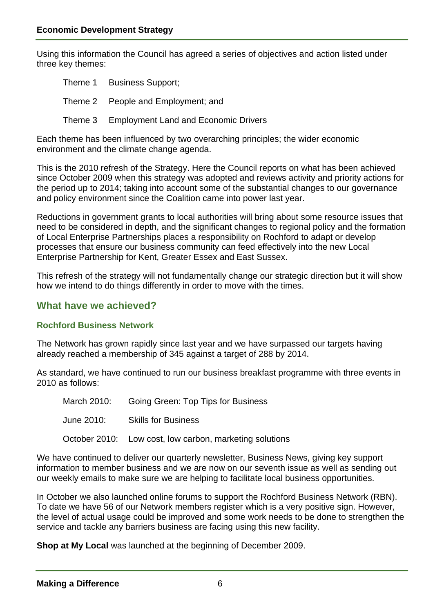Using this information the Council has agreed a series of objectives and action listed under three key themes:

| Theme 1 Business Support;                    |
|----------------------------------------------|
| Theme 2 People and Employment; and           |
| Theme 3 Employment Land and Economic Drivers |

Each theme has been influenced by two overarching principles; the wider economic environment and the climate change agenda.

This is the 2010 refresh of the Strategy. Here the Council reports on what has been achieved since October 2009 when this strategy was adopted and reviews activity and priority actions for the period up to 2014; taking into account some of the substantial changes to our governance and policy environment since the Coalition came into power last year.

Reductions in government grants to local authorities will bring about some resource issues that need to be considered in depth, and the significant changes to regional policy and the formation of Local Enterprise Partnerships places a responsibility on Rochford to adapt or develop processes that ensure our business community can feed effectively into the new Local Enterprise Partnership for Kent, Greater Essex and East Sussex.

This refresh of the strategy will not fundamentally change our strategic direction but it will show how we intend to do things differently in order to move with the times.

# **What have we achieved?**

## **Rochford Business Network**

The Network has grown rapidly since last year and we have surpassed our targets having already reached a membership of 345 against a target of 288 by 2014.

As standard, we have continued to run our business breakfast programme with three events in 2010 as follows:

March 2010: Going Green: Top Tips for Business

June 2010: Skills for Business

October 2010: Low cost, low carbon, marketing solutions

We have continued to deliver our quarterly newsletter, Business News, giving key support information to member business and we are now on our seventh issue as well as sending out our weekly emails to make sure we are helping to facilitate local business opportunities.

In October we also launched online forums to support the Rochford Business Network (RBN). To date we have 56 of our Network members register which is a very positive sign. However, the level of actual usage could be improved and some work needs to be done to strengthen the service and tackle any barriers business are facing using this new facility.

**Shop at My Local** was launched at the beginning of December 2009.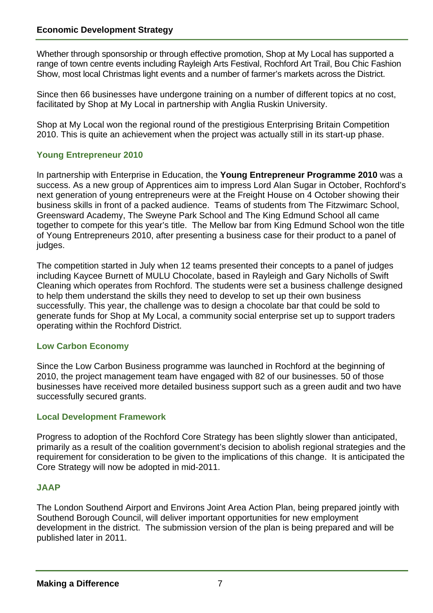Whether through sponsorship or through effective promotion, Shop at My Local has supported a range of town centre events including Rayleigh Arts Festival, Rochford Art Trail, Bou Chic Fashion Show, most local Christmas light events and a number of farmer's markets across the District.

Since then 66 businesses have undergone training on a number of different topics at no cost, facilitated by Shop at My Local in partnership with Anglia Ruskin University.

Shop at My Local won the regional round of the prestigious Enterprising Britain Competition 2010. This is quite an achievement when the project was actually still in its start-up phase.

# **Young Entrepreneur 2010**

In partnership with Enterprise in Education, the **Young Entrepreneur Programme 2010** was a success. As a new group of Apprentices aim to impress Lord Alan Sugar in October, Rochford's next generation of young entrepreneurs were at the Freight House on 4 October showing their business skills in front of a packed audience. Teams of students from The Fitzwimarc School, Greensward Academy, The Sweyne Park School and The King Edmund School all came together to compete for this year's title. The Mellow bar from King Edmund School won the title of Young Entrepreneurs 2010, after presenting a business case for their product to a panel of judges.

The competition started in July when 12 teams presented their concepts to a panel of judges including Kaycee Burnett of MULU Chocolate, based in Rayleigh and Gary Nicholls of Swift Cleaning which operates from Rochford. The students were set a business challenge designed to help them understand the skills they need to develop to set up their own business successfully. This year, the challenge was to design a chocolate bar that could be sold to generate funds for Shop at My Local, a community social enterprise set up to support traders operating within the Rochford District.

## **Low Carbon Economy**

Since the Low Carbon Business programme was launched in Rochford at the beginning of 2010, the project management team have engaged with 82 of our businesses. 50 of those businesses have received more detailed business support such as a green audit and two have successfully secured grants.

## **Local Development Framework**

Progress to adoption of the Rochford Core Strategy has been slightly slower than anticipated, primarily as a result of the coalition government's decision to abolish regional strategies and the requirement for consideration to be given to the implications of this change. It is anticipated the Core Strategy will now be adopted in mid-2011.

# **JAAP**

The London Southend Airport and Environs Joint Area Action Plan, being prepared jointly with Southend Borough Council, will deliver important opportunities for new employment development in the district. The submission version of the plan is being prepared and will be published later in 2011.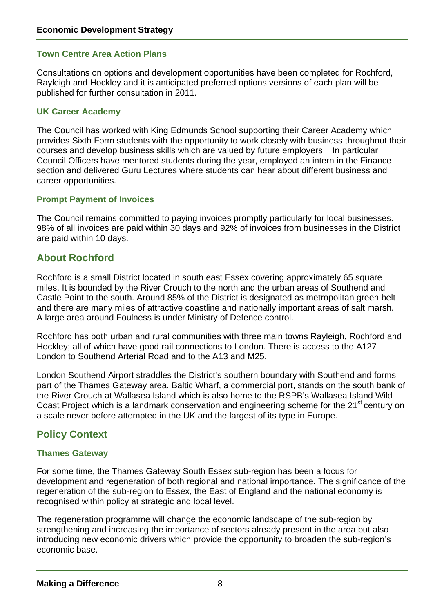#### **Town Centre Area Action Plans**

Consultations on options and development opportunities have been completed for Rochford, Rayleigh and Hockley and it is anticipated preferred options versions of each plan will be published for further consultation in 2011.

#### **UK Career Academy**

The Council has worked with King Edmunds School supporting their Career Academy which provides Sixth Form students with the opportunity to work closely with business throughout their courses and develop business skills which are valued by future employers In particular Council Officers have mentored students during the year, employed an intern in the Finance section and delivered Guru Lectures where students can hear about different business and career opportunities.

#### **Prompt Payment of Invoices**

The Council remains committed to paying invoices promptly particularly for local businesses. 98% of all invoices are paid within 30 days and 92% of invoices from businesses in the District are paid within 10 days.

# **About Rochford**

Rochford is a small District located in south east Essex covering approximately 65 square miles. It is bounded by the River Crouch to the north and the urban areas of Southend and Castle Point to the south. Around 85% of the District is designated as metropolitan green belt and there are many miles of attractive coastline and nationally important areas of salt marsh. A large area around Foulness is under Ministry of Defence control.

Rochford has both urban and rural communities with three main towns Rayleigh, Rochford and Hockley; all of which have good rail connections to London. There is access to the A127 London to Southend Arterial Road and to the A13 and M25.

London Southend Airport straddles the District's southern boundary with Southend and forms part of the Thames Gateway area. Baltic Wharf, a commercial port, stands on the south bank of the River Crouch at Wallasea Island which is also home to the RSPB's Wallasea Island Wild Coast Project which is a landmark conservation and engineering scheme for the 21<sup>st</sup> century on a scale never before attempted in the UK and the largest of its type in Europe.

# **Policy Context**

#### **Thames Gateway**

For some time, the Thames Gateway South Essex sub-region has been a focus for development and regeneration of both regional and national importance. The significance of the regeneration of the sub-region to Essex, the East of England and the national economy is recognised within policy at strategic and local level.

The regeneration programme will change the economic landscape of the sub-region by strengthening and increasing the importance of sectors already present in the area but also introducing new economic drivers which provide the opportunity to broaden the sub-region's economic base.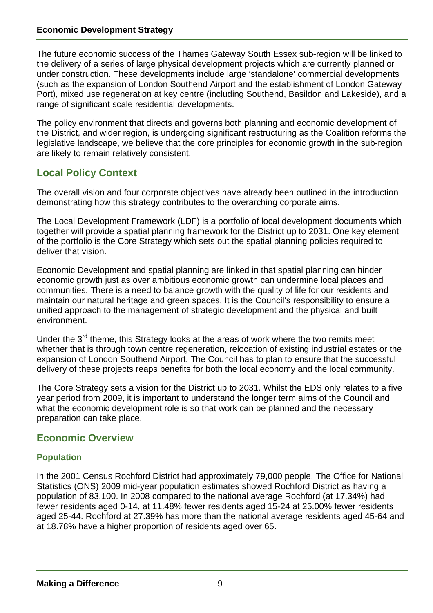The future economic success of the Thames Gateway South Essex sub-region will be linked to the delivery of a series of large physical development projects which are currently planned or under construction. These developments include large 'standalone' commercial developments (such as the expansion of London Southend Airport and the establishment of London Gateway Port), mixed use regeneration at key centre (including Southend, Basildon and Lakeside), and a range of significant scale residential developments.

The policy environment that directs and governs both planning and economic development of the District, and wider region, is undergoing significant restructuring as the Coalition reforms the legislative landscape, we believe that the core principles for economic growth in the sub-region are likely to remain relatively consistent.

# **Local Policy Context**

The overall vision and four corporate objectives have already been outlined in the introduction demonstrating how this strategy contributes to the overarching corporate aims.

The Local Development Framework (LDF) is a portfolio of local development documents which together will provide a spatial planning framework for the District up to 2031. One key element of the portfolio is the Core Strategy which sets out the spatial planning policies required to deliver that vision.

Economic Development and spatial planning are linked in that spatial planning can hinder economic growth just as over ambitious economic growth can undermine local places and communities. There is a need to balance growth with the quality of life for our residents and maintain our natural heritage and green spaces. It is the Council's responsibility to ensure a unified approach to the management of strategic development and the physical and built environment.

Under the  $3<sup>rd</sup>$  theme, this Strategy looks at the areas of work where the two remits meet whether that is through town centre regeneration, relocation of existing industrial estates or the expansion of London Southend Airport. The Council has to plan to ensure that the successful delivery of these projects reaps benefits for both the local economy and the local community.

The Core Strategy sets a vision for the District up to 2031. Whilst the EDS only relates to a five year period from 2009, it is important to understand the longer term aims of the Council and what the economic development role is so that work can be planned and the necessary preparation can take place.

# **Economic Overview**

## **Population**

In the 2001 Census Rochford District had approximately 79,000 people. The Office for National Statistics (ONS) 2009 mid-year population estimates showed Rochford District as having a population of 83,100. In 2008 compared to the national average Rochford (at 17.34%) had fewer residents aged 0-14, at 11.48% fewer residents aged 15-24 at 25.00% fewer residents aged 25-44. Rochford at 27.39% has more than the national average residents aged 45-64 and at 18.78% have a higher proportion of residents aged over 65.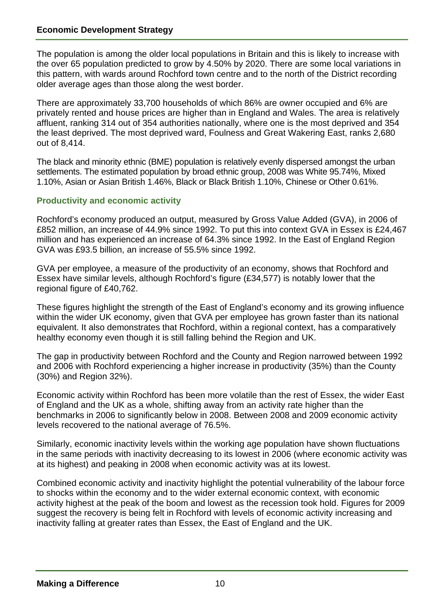The population is among the older local populations in Britain and this is likely to increase with the over 65 population predicted to grow by 4.50% by 2020. There are some local variations in this pattern, with wards around Rochford town centre and to the north of the District recording older average ages than those along the west border.

There are approximately 33,700 households of which 86% are owner occupied and 6% are privately rented and house prices are higher than in England and Wales. The area is relatively affluent, ranking 314 out of 354 authorities nationally, where one is the most deprived and 354 the least deprived. The most deprived ward, Foulness and Great Wakering East, ranks 2,680 out of 8,414.

The black and minority ethnic (BME) population is relatively evenly dispersed amongst the urban settlements. The estimated population by broad ethnic group, 2008 was White 95.74%, Mixed 1.10%, Asian or Asian British 1.46%, Black or Black British 1.10%, Chinese or Other 0.61%.

#### **Productivity and economic activity**

Rochford's economy produced an output, measured by Gross Value Added (GVA), in 2006 of £852 million, an increase of 44.9% since 1992. To put this into context GVA in Essex is £24,467 million and has experienced an increase of 64.3% since 1992. In the East of England Region GVA was £93.5 billion, an increase of 55.5% since 1992.

GVA per employee, a measure of the productivity of an economy, shows that Rochford and Essex have similar levels, although Rochford's figure (£34,577) is notably lower that the regional figure of £40,762.

These figures highlight the strength of the East of England's economy and its growing influence within the wider UK economy, given that GVA per employee has grown faster than its national equivalent. It also demonstrates that Rochford, within a regional context, has a comparatively healthy economy even though it is still falling behind the Region and UK.

The gap in productivity between Rochford and the County and Region narrowed between 1992 and 2006 with Rochford experiencing a higher increase in productivity (35%) than the County (30%) and Region 32%).

Economic activity within Rochford has been more volatile than the rest of Essex, the wider East of England and the UK as a whole, shifting away from an activity rate higher than the benchmarks in 2006 to significantly below in 2008. Between 2008 and 2009 economic activity levels recovered to the national average of 76.5%.

Similarly, economic inactivity levels within the working age population have shown fluctuations in the same periods with inactivity decreasing to its lowest in 2006 (where economic activity was at its highest) and peaking in 2008 when economic activity was at its lowest.

Combined economic activity and inactivity highlight the potential vulnerability of the labour force to shocks within the economy and to the wider external economic context, with economic activity highest at the peak of the boom and lowest as the recession took hold. Figures for 2009 suggest the recovery is being felt in Rochford with levels of economic activity increasing and inactivity falling at greater rates than Essex, the East of England and the UK.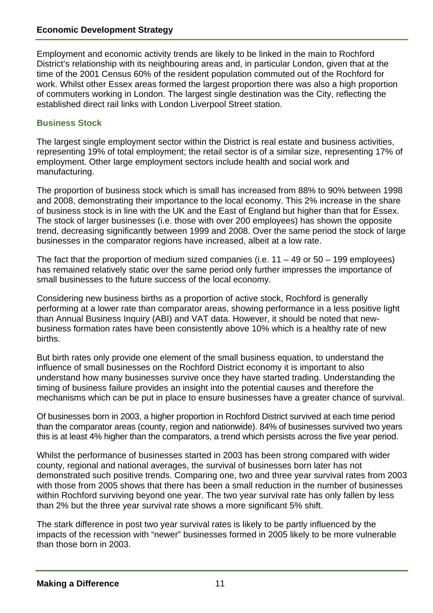Employment and economic activity trends are likely to be linked in the main to Rochford District's relationship with its neighbouring areas and, in particular London, given that at the time of the 2001 Census 60% of the resident population commuted out of the Rochford for work. Whilst other Essex areas formed the largest proportion there was also a high proportion of commuters working in London. The largest single destination was the City, reflecting the established direct rail links with London Liverpool Street station.

## **Business Stock**

The largest single employment sector within the District is real estate and business activities, representing 19% of total employment; the retail sector is of a similar size, representing 17% of employment. Other large employment sectors include health and social work and manufacturing.

The proportion of business stock which is small has increased from 88% to 90% between 1998 and 2008, demonstrating their importance to the local economy. This 2% increase in the share of business stock is in line with the UK and the East of England but higher than that for Essex. The stock of larger businesses (i.e. those with over 200 employees) has shown the opposite trend, decreasing significantly between 1999 and 2008. Over the same period the stock of large businesses in the comparator regions have increased, albeit at a low rate.

The fact that the proportion of medium sized companies (i.e.  $11 - 49$  or  $50 - 199$  employees) has remained relatively static over the same period only further impresses the importance of small businesses to the future success of the local economy.

Considering new business births as a proportion of active stock, Rochford is generally performing at a lower rate than comparator areas, showing performance in a less positive light than Annual Business Inquiry (ABI) and VAT data. However, it should be noted that newbusiness formation rates have been consistently above 10% which is a healthy rate of new births.

But birth rates only provide one element of the small business equation, to understand the influence of small businesses on the Rochford District economy it is important to also understand how many businesses survive once they have started trading. Understanding the timing of business failure provides an insight into the potential causes and therefore the mechanisms which can be put in place to ensure businesses have a greater chance of survival.

Of businesses born in 2003, a higher proportion in Rochford District survived at each time period than the comparator areas (county, region and nationwide). 84% of businesses survived two years this is at least 4% higher than the comparators, a trend which persists across the five year period.

Whilst the performance of businesses started in 2003 has been strong compared with wider county, regional and national averages, the survival of businesses born later has not demonstrated such positive trends. Comparing one, two and three year survival rates from 2003 with those from 2005 shows that there has been a small reduction in the number of businesses within Rochford surviving beyond one year. The two year survival rate has only fallen by less than 2% but the three year survival rate shows a more significant 5% shift.

The stark difference in post two year survival rates is likely to be partly influenced by the impacts of the recession with "newer" businesses formed in 2005 likely to be more vulnerable than those born in 2003.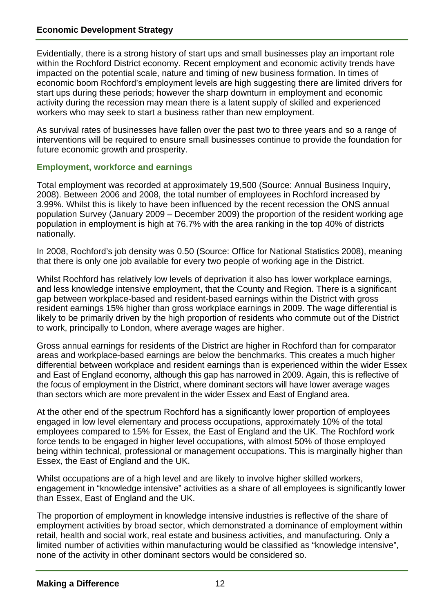Evidentially, there is a strong history of start ups and small businesses play an important role within the Rochford District economy. Recent employment and economic activity trends have impacted on the potential scale, nature and timing of new business formation. In times of economic boom Rochford's employment levels are high suggesting there are limited drivers for start ups during these periods; however the sharp downturn in employment and economic activity during the recession may mean there is a latent supply of skilled and experienced workers who may seek to start a business rather than new employment.

As survival rates of businesses have fallen over the past two to three years and so a range of interventions will be required to ensure small businesses continue to provide the foundation for future economic growth and prosperity.

#### **Employment, workforce and earnings**

Total employment was recorded at approximately 19,500 (Source: Annual Business Inquiry, 2008). Between 2006 and 2008, the total number of employees in Rochford increased by 3.99%. Whilst this is likely to have been influenced by the recent recession the ONS annual population Survey (January 2009 – December 2009) the proportion of the resident working age population in employment is high at 76.7% with the area ranking in the top 40% of districts nationally.

In 2008, Rochford's job density was 0.50 (Source: Office for National Statistics 2008), meaning that there is only one job available for every two people of working age in the District.

Whilst Rochford has relatively low levels of deprivation it also has lower workplace earnings, and less knowledge intensive employment, that the County and Region. There is a significant gap between workplace-based and resident-based earnings within the District with gross resident earnings 15% higher than gross workplace earnings in 2009. The wage differential is likely to be primarily driven by the high proportion of residents who commute out of the District to work, principally to London, where average wages are higher.

Gross annual earnings for residents of the District are higher in Rochford than for comparator areas and workplace-based earnings are below the benchmarks. This creates a much higher differential between workplace and resident earnings than is experienced within the wider Essex and East of England economy, although this gap has narrowed in 2009. Again, this is reflective of the focus of employment in the District, where dominant sectors will have lower average wages than sectors which are more prevalent in the wider Essex and East of England area.

At the other end of the spectrum Rochford has a significantly lower proportion of employees engaged in low level elementary and process occupations, approximately 10% of the total employees compared to 15% for Essex, the East of England and the UK. The Rochford work force tends to be engaged in higher level occupations, with almost 50% of those employed being within technical, professional or management occupations. This is marginally higher than Essex, the East of England and the UK.

Whilst occupations are of a high level and are likely to involve higher skilled workers, engagement in "knowledge intensive" activities as a share of all employees is significantly lower than Essex, East of England and the UK.

The proportion of employment in knowledge intensive industries is reflective of the share of employment activities by broad sector, which demonstrated a dominance of employment within retail, health and social work, real estate and business activities, and manufacturing. Only a limited number of activities within manufacturing would be classified as "knowledge intensive", none of the activity in other dominant sectors would be considered so.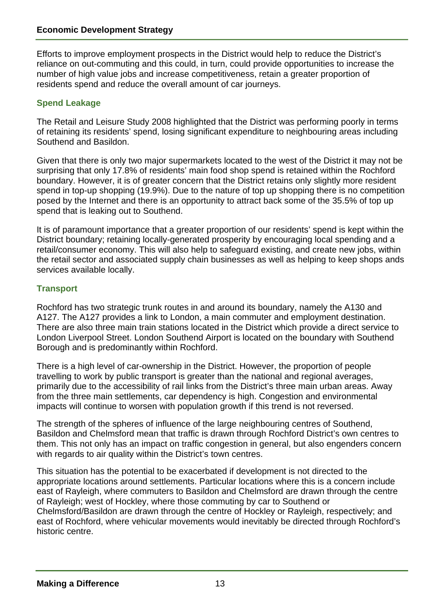Efforts to improve employment prospects in the District would help to reduce the District's reliance on out-commuting and this could, in turn, could provide opportunities to increase the number of high value jobs and increase competitiveness, retain a greater proportion of residents spend and reduce the overall amount of car journeys.

# **Spend Leakage**

The Retail and Leisure Study 2008 highlighted that the District was performing poorly in terms of retaining its residents' spend, losing significant expenditure to neighbouring areas including Southend and Basildon.

Given that there is only two major supermarkets located to the west of the District it may not be surprising that only 17.8% of residents' main food shop spend is retained within the Rochford boundary. However, it is of greater concern that the District retains only slightly more resident spend in top-up shopping (19.9%). Due to the nature of top up shopping there is no competition posed by the Internet and there is an opportunity to attract back some of the 35.5% of top up spend that is leaking out to Southend.

It is of paramount importance that a greater proportion of our residents' spend is kept within the District boundary; retaining locally-generated prosperity by encouraging local spending and a retail/consumer economy. This will also help to safeguard existing, and create new jobs, within the retail sector and associated supply chain businesses as well as helping to keep shops ands services available locally.

# **Transport**

Rochford has two strategic trunk routes in and around its boundary, namely the A130 and A127. The A127 provides a link to London, a main commuter and employment destination. There are also three main train stations located in the District which provide a direct service to London Liverpool Street. London Southend Airport is located on the boundary with Southend Borough and is predominantly within Rochford.

There is a high level of car-ownership in the District. However, the proportion of people travelling to work by public transport is greater than the national and regional averages, primarily due to the accessibility of rail links from the District's three main urban areas. Away from the three main settlements, car dependency is high. Congestion and environmental impacts will continue to worsen with population growth if this trend is not reversed.

The strength of the spheres of influence of the large neighbouring centres of Southend, Basildon and Chelmsford mean that traffic is drawn through Rochford District's own centres to them. This not only has an impact on traffic congestion in general, but also engenders concern with regards to air quality within the District's town centres.

This situation has the potential to be exacerbated if development is not directed to the appropriate locations around settlements. Particular locations where this is a concern include east of Rayleigh, where commuters to Basildon and Chelmsford are drawn through the centre of Rayleigh; west of Hockley, where those commuting by car to Southend or Chelmsford/Basildon are drawn through the centre of Hockley or Rayleigh, respectively; and east of Rochford, where vehicular movements would inevitably be directed through Rochford's historic centre.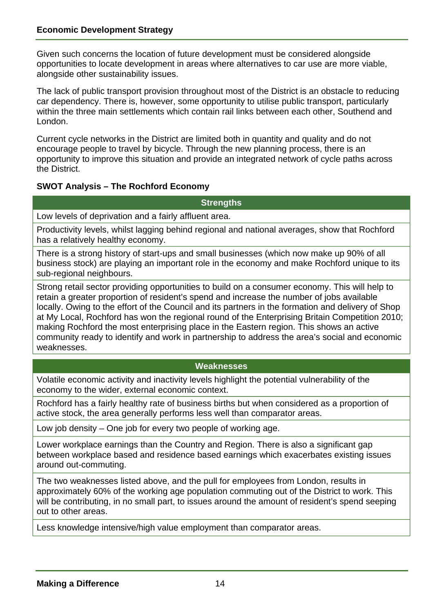Given such concerns the location of future development must be considered alongside opportunities to locate development in areas where alternatives to car use are more viable, alongside other sustainability issues.

The lack of public transport provision throughout most of the District is an obstacle to reducing car dependency. There is, however, some opportunity to utilise public transport, particularly within the three main settlements which contain rail links between each other, Southend and London.

Current cycle networks in the District are limited both in quantity and quality and do not encourage people to travel by bicycle. Through the new planning process, there is an opportunity to improve this situation and provide an integrated network of cycle paths across the District.

## **SWOT Analysis – The Rochford Economy**

#### **Strengths**

Low levels of deprivation and a fairly affluent area.

Productivity levels, whilst lagging behind regional and national averages, show that Rochford has a relatively healthy economy.

There is a strong history of start-ups and small businesses (which now make up 90% of all business stock) are playing an important role in the economy and make Rochford unique to its sub-regional neighbours.

Strong retail sector providing opportunities to build on a consumer economy. This will help to retain a greater proportion of resident's spend and increase the number of jobs available locally. Owing to the effort of the Council and its partners in the formation and delivery of Shop at My Local, Rochford has won the regional round of the Enterprising Britain Competition 2010; making Rochford the most enterprising place in the Eastern region. This shows an active community ready to identify and work in partnership to address the area's social and economic weaknesses.

## **Weaknesses**

Volatile economic activity and inactivity levels highlight the potential vulnerability of the economy to the wider, external economic context.

Rochford has a fairly healthy rate of business births but when considered as a proportion of active stock, the area generally performs less well than comparator areas.

Low job density – One job for every two people of working age.

Lower workplace earnings than the Country and Region. There is also a significant gap between workplace based and residence based earnings which exacerbates existing issues around out-commuting.

The two weaknesses listed above, and the pull for employees from London, results in approximately 60% of the working age population commuting out of the District to work. This will be contributing, in no small part, to issues around the amount of resident's spend seeping out to other areas.

Less knowledge intensive/high value employment than comparator areas.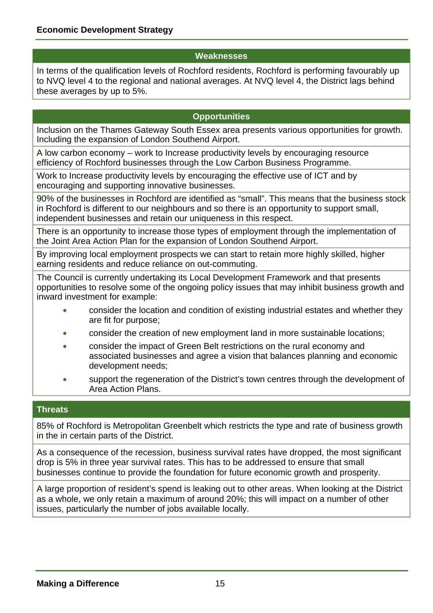#### **Weaknesses**

In terms of the qualification levels of Rochford residents, Rochford is performing favourably up to NVQ level 4 to the regional and national averages. At NVQ level 4, the District lags behind these averages by up to 5%.

# **Opportunities**

Inclusion on the Thames Gateway South Essex area presents various opportunities for growth. Including the expansion of London Southend Airport.

A low carbon economy – work to Increase productivity levels by encouraging resource efficiency of Rochford businesses through the Low Carbon Business Programme.

Work to Increase productivity levels by encouraging the effective use of ICT and by encouraging and supporting innovative businesses.

90% of the businesses in Rochford are identified as "small". This means that the business stock in Rochford is different to our neighbours and so there is an opportunity to support small, independent businesses and retain our uniqueness in this respect.

There is an opportunity to increase those types of employment through the implementation of the Joint Area Action Plan for the expansion of London Southend Airport.

By improving local employment prospects we can start to retain more highly skilled, higher earning residents and reduce reliance on out-commuting.

The Council is currently undertaking its Local Development Framework and that presents opportunities to resolve some of the ongoing policy issues that may inhibit business growth and inward investment for example:

- consider the location and condition of existing industrial estates and whether they are fit for purpose;
- consider the creation of new employment land in more sustainable locations;
- consider the impact of Green Belt restrictions on the rural economy and associated businesses and agree a vision that balances planning and economic development needs;
- support the regeneration of the District's town centres through the development of Area Action Plans.

#### **Threats**

85% of Rochford is Metropolitan Greenbelt which restricts the type and rate of business growth in the in certain parts of the District.

As a consequence of the recession, business survival rates have dropped, the most significant drop is 5% in three year survival rates. This has to be addressed to ensure that small businesses continue to provide the foundation for future economic growth and prosperity.

A large proportion of resident's spend is leaking out to other areas. When looking at the District as a whole, we only retain a maximum of around 20%; this will impact on a number of other issues, particularly the number of jobs available locally.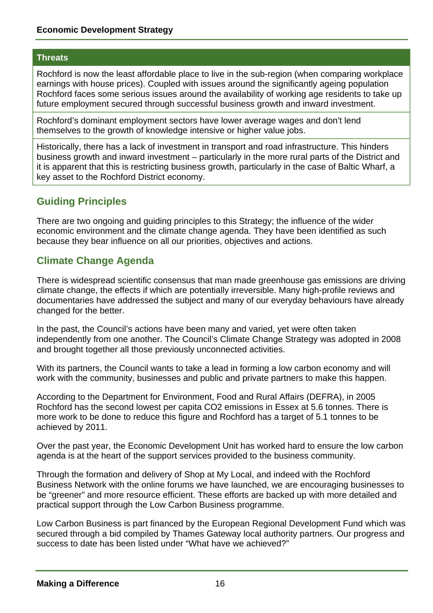#### **Threats**

Rochford is now the least affordable place to live in the sub-region (when comparing workplace earnings with house prices). Coupled with issues around the significantly ageing population Rochford faces some serious issues around the availability of working age residents to take up future employment secured through successful business growth and inward investment.

Rochford's dominant employment sectors have lower average wages and don't lend themselves to the growth of knowledge intensive or higher value jobs.

Historically, there has a lack of investment in transport and road infrastructure. This hinders business growth and inward investment – particularly in the more rural parts of the District and it is apparent that this is restricting business growth, particularly in the case of Baltic Wharf, a key asset to the Rochford District economy.

# **Guiding Principles**

There are two ongoing and guiding principles to this Strategy; the influence of the wider economic environment and the climate change agenda. They have been identified as such because they bear influence on all our priorities, objectives and actions.

# **Climate Change Agenda**

There is widespread scientific consensus that man made greenhouse gas emissions are driving climate change, the effects if which are potentially irreversible. Many high-profile reviews and documentaries have addressed the subject and many of our everyday behaviours have already changed for the better.

In the past, the Council's actions have been many and varied, yet were often taken independently from one another. The Council's Climate Change Strategy was adopted in 2008 and brought together all those previously unconnected activities.

With its partners, the Council wants to take a lead in forming a low carbon economy and will work with the community, businesses and public and private partners to make this happen.

According to the Department for Environment, Food and Rural Affairs (DEFRA), in 2005 Rochford has the second lowest per capita CO2 emissions in Essex at 5.6 tonnes. There is more work to be done to reduce this figure and Rochford has a target of 5.1 tonnes to be achieved by 2011.

Over the past year, the Economic Development Unit has worked hard to ensure the low carbon agenda is at the heart of the support services provided to the business community.

Through the formation and delivery of Shop at My Local, and indeed with the Rochford Business Network with the online forums we have launched, we are encouraging businesses to be "greener" and more resource efficient. These efforts are backed up with more detailed and practical support through the Low Carbon Business programme.

Low Carbon Business is part financed by the European Regional Development Fund which was secured through a bid compiled by Thames Gateway local authority partners. Our progress and success to date has been listed under "What have we achieved?"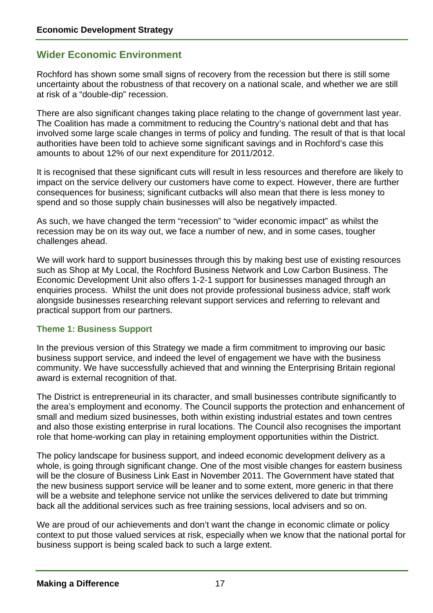# **Wider Economic Environment**

Rochford has shown some small signs of recovery from the recession but there is still some uncertainty about the robustness of that recovery on a national scale, and whether we are still at risk of a "double-dip" recession.

There are also significant changes taking place relating to the change of government last year. The Coalition has made a commitment to reducing the Country's national debt and that has involved some large scale changes in terms of policy and funding. The result of that is that local authorities have been told to achieve some significant savings and in Rochford's case this amounts to about 12% of our next expenditure for 2011/2012.

It is recognised that these significant cuts will result in less resources and therefore are likely to impact on the service delivery our customers have come to expect. However, there are further consequences for business; significant cutbacks will also mean that there is less money to spend and so those supply chain businesses will also be negatively impacted.

As such, we have changed the term "recession" to "wider economic impact" as whilst the recession may be on its way out, we face a number of new, and in some cases, tougher challenges ahead.

We will work hard to support businesses through this by making best use of existing resources such as Shop at My Local, the Rochford Business Network and Low Carbon Business. The Economic Development Unit also offers 1-2-1 support for businesses managed through an enquiries process. Whilst the unit does not provide professional business advice, staff work alongside businesses researching relevant support services and referring to relevant and practical support from our partners.

## **Theme 1: Business Support**

In the previous version of this Strategy we made a firm commitment to improving our basic business support service, and indeed the level of engagement we have with the business community. We have successfully achieved that and winning the Enterprising Britain regional award is external recognition of that.

The District is entrepreneurial in its character, and small businesses contribute significantly to the area's employment and economy. The Council supports the protection and enhancement of small and medium sized businesses, both within existing industrial estates and town centres and also those existing enterprise in rural locations. The Council also recognises the important role that home-working can play in retaining employment opportunities within the District.

The policy landscape for business support, and indeed economic development delivery as a whole, is going through significant change. One of the most visible changes for eastern business will be the closure of Business Link East in November 2011. The Government have stated that the new business support service will be leaner and to some extent, more generic in that there will be a website and telephone service not unlike the services delivered to date but trimming back all the additional services such as free training sessions, local advisers and so on.

We are proud of our achievements and don't want the change in economic climate or policy context to put those valued services at risk, especially when we know that the national portal for business support is being scaled back to such a large extent.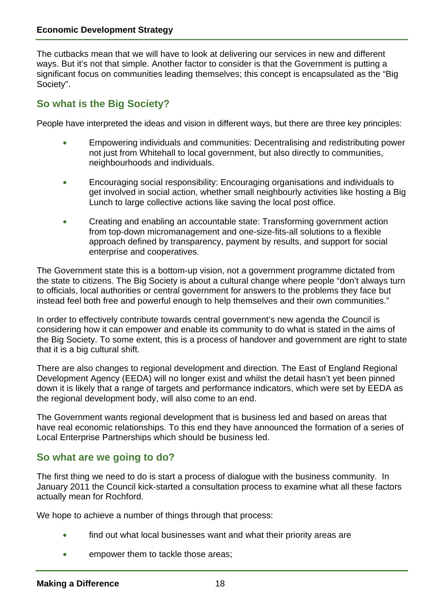The cutbacks mean that we will have to look at delivering our services in new and different ways. But it's not that simple. Another factor to consider is that the Government is putting a significant focus on communities leading themselves; this concept is encapsulated as the "Big Society".

# **So what is the Big Society?**

People have interpreted the ideas and vision in different ways, but there are three key principles:

- Empowering individuals and communities: Decentralising and redistributing power not just from Whitehall to local government, but also directly to communities, neighbourhoods and individuals.
- Encouraging social responsibility: Encouraging organisations and individuals to get involved in social action, whether small neighbourly activities like hosting a Big Lunch to large collective actions like saving the local post office.
- Creating and enabling an accountable state: Transforming government action from top-down micromanagement and one-size-fits-all solutions to a flexible approach defined by transparency, payment by results, and support for social enterprise and cooperatives.

The Government state this is a bottom-up vision, not a government programme dictated from the state to citizens. The Big Society is about a cultural change where people "don't always turn to officials, local authorities or central government for answers to the problems they face but instead feel both free and powerful enough to help themselves and their own communities."

In order to effectively contribute towards central government's new agenda the Council is considering how it can empower and enable its community to do what is stated in the aims of the Big Society. To some extent, this is a process of handover and government are right to state that it is a big cultural shift.

There are also changes to regional development and direction. The East of England Regional Development Agency (EEDA) will no longer exist and whilst the detail hasn't yet been pinned down it is likely that a range of targets and performance indicators, which were set by EEDA as the regional development body, will also come to an end.

The Government wants regional development that is business led and based on areas that have real economic relationships. To this end they have announced the formation of a series of Local Enterprise Partnerships which should be business led.

# **So what are we going to do?**

The first thing we need to do is start a process of dialogue with the business community. In January 2011 the Council kick-started a consultation process to examine what all these factors actually mean for Rochford.

We hope to achieve a number of things through that process:

- find out what local businesses want and what their priority areas are
- empower them to tackle those areas;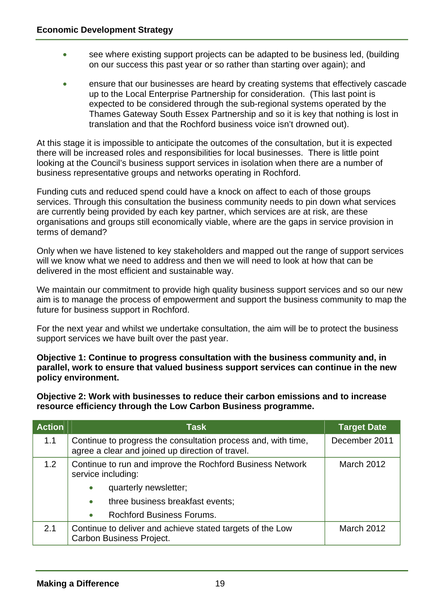- see where existing support projects can be adapted to be business led, (building on our success this past year or so rather than starting over again); and
- ensure that our businesses are heard by creating systems that effectively cascade up to the Local Enterprise Partnership for consideration. (This last point is expected to be considered through the sub-regional systems operated by the Thames Gateway South Essex Partnership and so it is key that nothing is lost in translation and that the Rochford business voice isn't drowned out).

At this stage it is impossible to anticipate the outcomes of the consultation, but it is expected there will be increased roles and responsibilities for local businesses. There is little point looking at the Council's business support services in isolation when there are a number of business representative groups and networks operating in Rochford.

Funding cuts and reduced spend could have a knock on affect to each of those groups services. Through this consultation the business community needs to pin down what services are currently being provided by each key partner, which services are at risk, are these organisations and groups still economically viable, where are the gaps in service provision in terms of demand?

Only when we have listened to key stakeholders and mapped out the range of support services will we know what we need to address and then we will need to look at how that can be delivered in the most efficient and sustainable way.

We maintain our commitment to provide high quality business support services and so our new aim is to manage the process of empowerment and support the business community to map the future for business support in Rochford.

For the next year and whilst we undertake consultation, the aim will be to protect the business support services we have built over the past year.

**Objective 1: Continue to progress consultation with the business community and, in parallel, work to ensure that valued business support services can continue in the new policy environment.** 

**Objective 2: Work with businesses to reduce their carbon emissions and to increase resource efficiency through the Low Carbon Business programme.** 

| <b>Action</b> | Task                                                                                                              | <b>Target Date</b> |
|---------------|-------------------------------------------------------------------------------------------------------------------|--------------------|
| 1.1           | Continue to progress the consultation process and, with time,<br>agree a clear and joined up direction of travel. | December 2011      |
| 1.2           | Continue to run and improve the Rochford Business Network<br>service including:                                   | <b>March 2012</b>  |
|               | quarterly newsletter;<br>$\bullet$                                                                                |                    |
|               | three business breakfast events;<br>$\bullet$                                                                     |                    |
|               | <b>Rochford Business Forums.</b><br>$\bullet$                                                                     |                    |
| 2.1           | Continue to deliver and achieve stated targets of the Low<br><b>Carbon Business Project.</b>                      | March 2012         |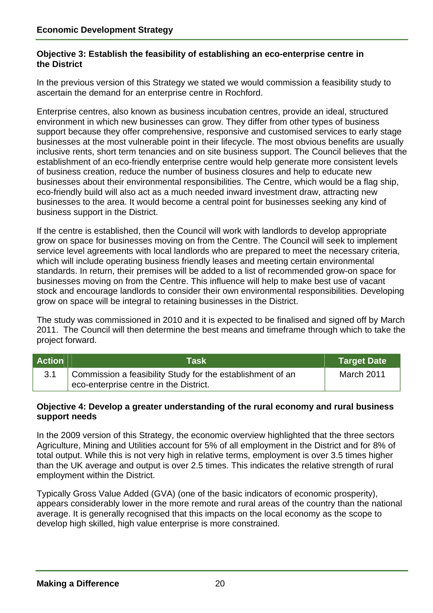#### **the District Objective 3: Establish the feasibility of establishing an eco-enterprise centre in**

In the previous version of this Strategy we stated we would commission a feasibility study to ascertain the demand for an enterprise centre in Rochford.

Enterprise centres, also known as business incubation centres, provide an ideal, structured environment in which new businesses can grow. They differ from other types of business support because they offer comprehensive, responsive and customised services to early stage businesses at the most vulnerable point in their lifecycle. The most obvious benefits are usually inclusive rents, short term tenancies and on site business support. The Council believes that the establishment of an eco-friendly enterprise centre would help generate more consistent levels of business creation, reduce the number of business closures and help to educate new businesses about their environmental responsibilities. The Centre, which would be a flag ship, eco-friendly build will also act as a much needed inward investment draw, attracting new businesses to the area. It would become a central point for businesses seeking any kind of business support in the District.

If the centre is established, then the Council will work with landlords to develop appropriate grow on space for businesses moving on from the Centre. The Council will seek to implement service level agreements with local landlords who are prepared to meet the necessary criteria, which will include operating business friendly leases and meeting certain environmental standards. In return, their premises will be added to a list of recommended grow-on space for businesses moving on from the Centre. This influence will help to make best use of vacant stock and encourage landlords to consider their own environmental responsibilities. Developing grow on space will be integral to retaining businesses in the District.

2011. The Council will then determine the best means and timeframe through which to take the project forward. The study was commissioned in 2010 and it is expected to be finalised and signed off by March

| <b>Action</b> | <b>Task</b>                                                                                          | <b>Target Date</b> |
|---------------|------------------------------------------------------------------------------------------------------|--------------------|
|               | Commission a feasibility Study for the establishment of an<br>eco-enterprise centre in the District. | March 2011         |

#### **support needs Objective 4: Develop a greater understanding of the rural economy and rural business**

employment within the District. In the 2009 version of this Strategy, the economic overview highlighted that the three sectors Agriculture, Mining and Utilities account for 5% of all employment in the District and for 8% of total output. While this is not very high in relative terms, employment is over 3.5 times higher than the UK average and output is over 2.5 times. This indicates the relative strength of rural

Typically Gross Value Added (GVA) (one of the basic indicators of economic prosperity), appears considerably lower in the more remote and rural areas of the country than the national average. It is generally recognised that this impacts on the local economy as the scope to develop high skilled, high value enterprise is more constrained.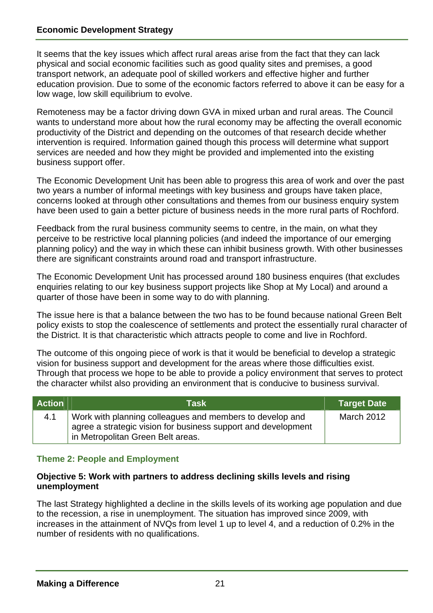low wage, low skill equilibrium to evolve. It seems that the key issues which affect rural areas arise from the fact that they can lack physical and social economic facilities such as good quality sites and premises, a good transport network, an adequate pool of skilled workers and effective higher and further education provision. Due to some of the economic factors referred to above it can be easy for a

Remoteness may be a factor driving down GVA in mixed urban and rural areas. The Council wants to understand more about how the rural economy may be affecting the overall economic productivity of the District and depending on the outcomes of that research decide whether intervention is required. Information gained though this process will determine what support services are needed and how they might be provided and implemented into the existing business support offer.

The Economic Development Unit has been able to progress this area of work and over the past two years a number of informal meetings with key business and groups have taken place, concerns looked at through other consultations and themes from our business enquiry system have been used to gain a better picture of business needs in the more rural parts of Rochford.

Feedback from the rural business community seems to centre, in the main, on what they perceive to be restrictive local planning policies (and indeed the importance of our emerging planning policy) and the way in which these can inhibit business growth. With other businesses there are significant constraints around road and transport infrastructure.

The Economic Development Unit has processed around 180 business enquires (that excludes enquiries relating to our key business support projects like Shop at My Local) and around a quarter of those have been in some way to do with planning.

The issue here is that a balance between the two has to be found because national Green Belt policy exists to stop the coalescence of settlements and protect the essentially rural character of the District. It is that characteristic which attracts people to come and live in Rochford.

The outcome of this ongoing piece of work is that it would be beneficial to develop a strategic vision for business support and development for the areas where those difficulties exist. Through that process we hope to be able to provide a policy environment that serves to protect the character whilst also providing an environment that is conducive to business survival.

| <b>Action</b> | Task                                                                                                                                                           | <b>Target Date</b> |
|---------------|----------------------------------------------------------------------------------------------------------------------------------------------------------------|--------------------|
| 4.1           | Work with planning colleagues and members to develop and<br>agree a strategic vision for business support and development<br>in Metropolitan Green Belt areas. | <b>March 2012</b>  |

## **Theme 2: People and Employment**

#### **Objective 5: Work with partners to address declining skills levels and rising unemployment**

number of residents with no qualifications. The last Strategy highlighted a decline in the skills levels of its working age population and due to the recession, a rise in unemployment. The situation has improved since 2009, with increases in the attainment of NVQs from level 1 up to level 4, and a reduction of 0.2% in the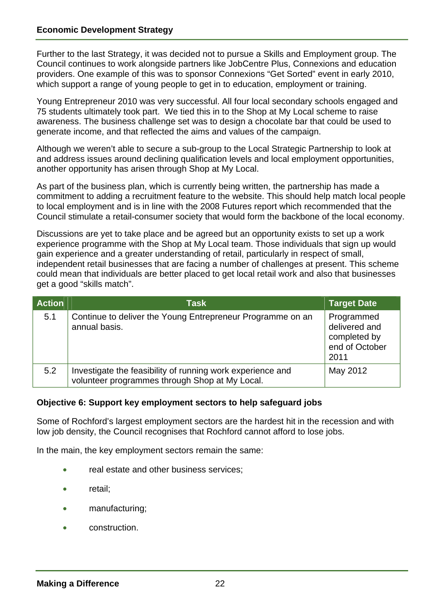Further to the last Strategy, it was decided not to pursue a Skills and Employment group. The Council continues to work alongside partners like JobCentre Plus, Connexions and education providers. One example of this was to sponsor Connexions "Get Sorted" event in early 2010, which support a range of young people to get in to education, employment or training.

Young Entrepreneur 2010 was very successful. All four local secondary schools engaged and 75 students ultimately took part. We tied this in to the Shop at My Local scheme to raise awareness. The business challenge set was to design a chocolate bar that could be used to generate income, and that reflected the aims and values of the campaign.

Although we weren't able to secure a sub-group to the Local Strategic Partnership to look at and address issues around declining qualification levels and local employment opportunities, another opportunity has arisen through Shop at My Local.

As part of the business plan, which is currently being written, the partnership has made a commitment to adding a recruitment feature to the website. This should help match local people to local employment and is in line with the 2008 Futures report which recommended that the Council stimulate a retail-consumer society that would form the backbone of the local economy.

Discussions are yet to take place and be agreed but an opportunity exists to set up a work experience programme with the Shop at My Local team. Those individuals that sign up would gain experience and a greater understanding of retail, particularly in respect of small, independent retail businesses that are facing a number of challenges at present. This scheme could mean that individuals are better placed to get local retail work and also that businesses get a good "skills match".

| <b>Action</b> | <b>Task</b>                                                                                                  | <b>Target Date</b>                                                    |
|---------------|--------------------------------------------------------------------------------------------------------------|-----------------------------------------------------------------------|
| 5.1           | Continue to deliver the Young Entrepreneur Programme on an<br>annual basis.                                  | Programmed<br>delivered and<br>completed by<br>end of October<br>2011 |
| 5.2           | Investigate the feasibility of running work experience and<br>volunteer programmes through Shop at My Local. | May 2012                                                              |

## **Objective 6: Support key employment sectors to help safeguard jobs**

Some of Rochford's largest employment sectors are the hardest hit in the recession and with low job density, the Council recognises that Rochford cannot afford to lose jobs.

In the main, the key employment sectors remain the same:

- real estate and other business services;
- retail;
- manufacturing;
- construction.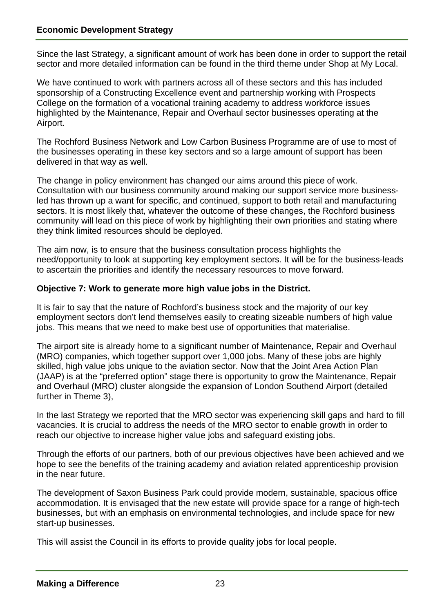Since the last Strategy, a significant amount of work has been done in order to support the retail sector and more detailed information can be found in the third theme under Shop at My Local.

We have continued to work with partners across all of these sectors and this has included sponsorship of a Constructing Excellence event and partnership working with Prospects College on the formation of a vocational training academy to address workforce issues highlighted by the Maintenance, Repair and Overhaul sector businesses operating at the Airport.

The Rochford Business Network and Low Carbon Business Programme are of use to most of the businesses operating in these key sectors and so a large amount of support has been delivered in that way as well.

The change in policy environment has changed our aims around this piece of work. Consultation with our business community around making our support service more businessled has thrown up a want for specific, and continued, support to both retail and manufacturing sectors. It is most likely that, whatever the outcome of these changes, the Rochford business community will lead on this piece of work by highlighting their own priorities and stating where they think limited resources should be deployed.

The aim now, is to ensure that the business consultation process highlights the need/opportunity to look at supporting key employment sectors. It will be for the business-leads to ascertain the priorities and identify the necessary resources to move forward.

#### **Objective 7: Work to generate more high value jobs in the District.**

It is fair to say that the nature of Rochford's business stock and the majority of our key employment sectors don't lend themselves easily to creating sizeable numbers of high value jobs. This means that we need to make best use of opportunities that materialise.

The airport site is already home to a significant number of Maintenance, Repair and Overhaul (MRO) companies, which together support over 1,000 jobs. Many of these jobs are highly skilled, high value jobs unique to the aviation sector. Now that the Joint Area Action Plan (JAAP) is at the "preferred option" stage there is opportunity to grow the Maintenance, Repair and Overhaul (MRO) cluster alongside the expansion of London Southend Airport (detailed further in Theme 3),

In the last Strategy we reported that the MRO sector was experiencing skill gaps and hard to fill vacancies. It is crucial to address the needs of the MRO sector to enable growth in order to reach our objective to increase higher value jobs and safeguard existing jobs.

Through the efforts of our partners, both of our previous objectives have been achieved and we hope to see the benefits of the training academy and aviation related apprenticeship provision in the near future.

The development of Saxon Business Park could provide modern, sustainable, spacious office accommodation. It is envisaged that the new estate will provide space for a range of high-tech businesses, but with an emphasis on environmental technologies, and include space for new start-up businesses.

This will assist the Council in its efforts to provide quality jobs for local people.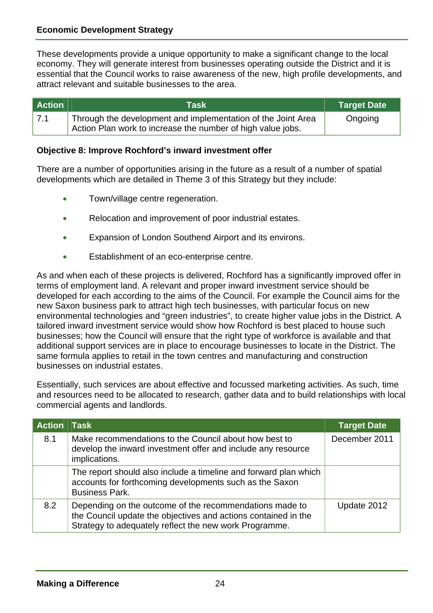These developments provide a unique opportunity to make a significant change to the local economy. They will generate interest from businesses operating outside the District and it is essential that the Council works to raise awareness of the new, high profile developments, and attract relevant and suitable businesses to the area.

| <b>Action</b> | Task                                                                                                                        | Target Date |
|---------------|-----------------------------------------------------------------------------------------------------------------------------|-------------|
| 7.1           | Through the development and implementation of the Joint Area<br>Action Plan work to increase the number of high value jobs. | Ongoing     |

#### **Objective 8: Improve Rochford's inward investment offer**

There are a number of opportunities arising in the future as a result of a number of spatial developments which are detailed in Theme 3 of this Strategy but they include:

- Town/village centre regeneration.
- Relocation and improvement of poor industrial estates.
- Expansion of London Southend Airport and its environs.
- Establishment of an eco-enterprise centre.

businesses; how the Council will ensure that the right type of workforce is available and that As and when each of these projects is delivered, Rochford has a significantly improved offer in terms of employment land. A relevant and proper inward investment service should be developed for each according to the aims of the Council. For example the Council aims for the new Saxon business park to attract high tech businesses, with particular focus on new environmental technologies and "green industries", to create higher value jobs in the District. A tailored inward investment service would show how Rochford is best placed to house such additional support services are in place to encourage businesses to locate in the District. The same formula applies to retail in the town centres and manufacturing and construction businesses on industrial estates.

commercial agents and landlords. Essentially, such services are about effective and focussed marketing activities. As such, time and resources need to be allocated to research, gather data and to build relationships with local

| <b>Action Task</b> |                                                                                                                                                                                     | <b>Target Date</b> |
|--------------------|-------------------------------------------------------------------------------------------------------------------------------------------------------------------------------------|--------------------|
| 8.1                | Make recommendations to the Council about how best to<br>develop the inward investment offer and include any resource<br>implications.                                              | December 2011      |
|                    | The report should also include a timeline and forward plan which<br>accounts for forthcoming developments such as the Saxon<br><b>Business Park.</b>                                |                    |
| 8.2                | Depending on the outcome of the recommendations made to<br>the Council update the objectives and actions contained in the<br>Strategy to adequately reflect the new work Programme. | Update 2012        |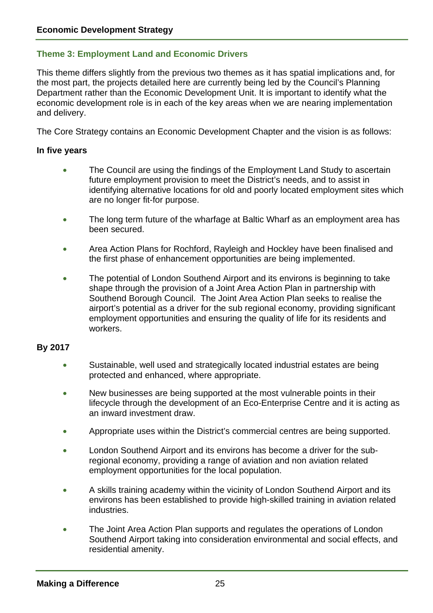## **Theme 3: Employment Land and Economic Drivers**

This theme differs slightly from the previous two themes as it has spatial implications and, for the most part, the projects detailed here are currently being led by the Council's Planning Department rather than the Economic Development Unit. It is important to identify what the economic development role is in each of the key areas when we are nearing implementation and delivery.

The Core Strategy contains an Economic Development Chapter and the vision is as follows:

#### **In five years**

- The Council are using the findings of the Employment Land Study to ascertain future employment provision to meet the District's needs, and to assist in identifying alternative locations for old and poorly located employment sites which are no longer fit-for purpose.
- The long term future of the wharfage at Baltic Wharf as an employment area has been secured.
- Area Action Plans for Rochford, Rayleigh and Hockley have been finalised and the first phase of enhancement opportunities are being implemented.
- The potential of London Southend Airport and its environs is beginning to take shape through the provision of a Joint Area Action Plan in partnership with Southend Borough Council. The Joint Area Action Plan seeks to realise the airport's potential as a driver for the sub regional economy, providing significant employment opportunities and ensuring the quality of life for its residents and workers.

#### **By 2017**

- Sustainable, well used and strategically located industrial estates are being protected and enhanced, where appropriate.
- New businesses are being supported at the most vulnerable points in their lifecycle through the development of an Eco-Enterprise Centre and it is acting as an inward investment draw.
- Appropriate uses within the District's commercial centres are being supported.
- London Southend Airport and its environs has become a driver for the subregional economy, providing a range of aviation and non aviation related employment opportunities for the local population.
- A skills training academy within the vicinity of London Southend Airport and its environs has been established to provide high-skilled training in aviation related industries.
- The Joint Area Action Plan supports and regulates the operations of London Southend Airport taking into consideration environmental and social effects, and residential amenity.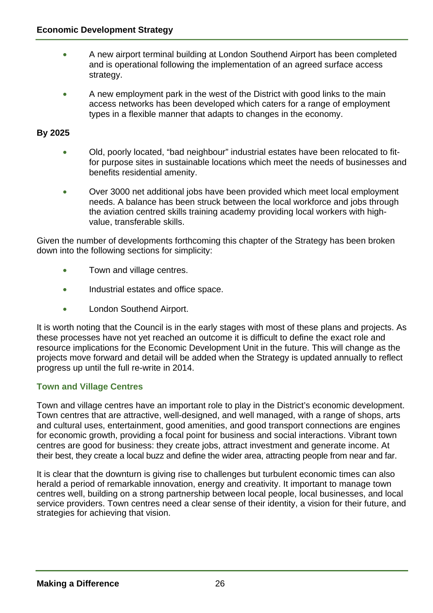- A new airport terminal building at London Southend Airport has been completed and is operational following the implementation of an agreed surface access strategy.
- A new employment park in the west of the District with good links to the main access networks has been developed which caters for a range of employment types in a flexible manner that adapts to changes in the economy.

## **By 2025**

- Old, poorly located, "bad neighbour" industrial estates have been relocated to fitfor purpose sites in sustainable locations which meet the needs of businesses and benefits residential amenity.
- Over 3000 net additional jobs have been provided which meet local employment needs. A balance has been struck between the local workforce and jobs through the aviation centred skills training academy providing local workers with highvalue, transferable skills.

Given the number of developments forthcoming this chapter of the Strategy has been broken down into the following sections for simplicity:

- Town and village centres.
- Industrial estates and office space.
- London Southend Airport.

It is worth noting that the Council is in the early stages with most of these plans and projects. As these processes have not yet reached an outcome it is difficult to define the exact role and resource implications for the Economic Development Unit in the future. This will change as the projects move forward and detail will be added when the Strategy is updated annually to reflect progress up until the full re-write in 2014.

## **Town and Village Centres**

Town and village centres have an important role to play in the District's economic development. Town centres that are attractive, well-designed, and well managed, with a range of shops, arts and cultural uses, entertainment, good amenities, and good transport connections are engines for economic growth, providing a focal point for business and social interactions. Vibrant town centres are good for business: they create jobs, attract investment and generate income. At their best, they create a local buzz and define the wider area, attracting people from near and far.

It is clear that the downturn is giving rise to challenges but turbulent economic times can also herald a period of remarkable innovation, energy and creativity. It important to manage town centres well, building on a strong partnership between local people, local businesses, and local service providers. Town centres need a clear sense of their identity, a vision for their future, and strategies for achieving that vision.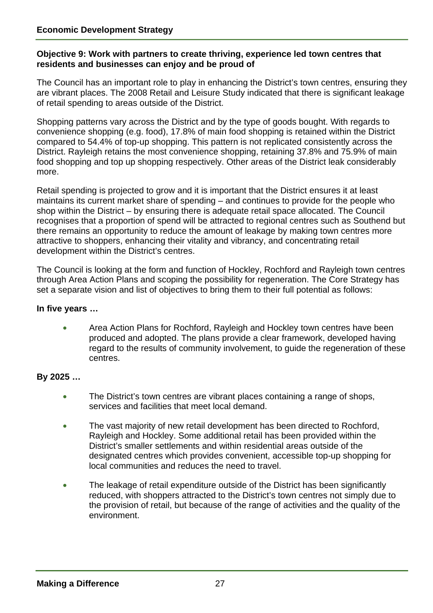#### **Objective 9: Work with partners to create thriving, experience led town centres that residents and businesses can enjoy and be proud of**

The Council has an important role to play in enhancing the District's town centres, ensuring they are vibrant places. The 2008 Retail and Leisure Study indicated that there is significant leakage of retail spending to areas outside of the District.

Shopping patterns vary across the District and by the type of goods bought. With regards to convenience shopping (e.g. food), 17.8% of main food shopping is retained within the District compared to 54.4% of top-up shopping. This pattern is not replicated consistently across the District. Rayleigh retains the most convenience shopping, retaining 37.8% and 75.9% of main food shopping and top up shopping respectively. Other areas of the District leak considerably more.

Retail spending is projected to grow and it is important that the District ensures it at least maintains its current market share of spending – and continues to provide for the people who shop within the District – by ensuring there is adequate retail space allocated. The Council recognises that a proportion of spend will be attracted to regional centres such as Southend but there remains an opportunity to reduce the amount of leakage by making town centres more attractive to shoppers, enhancing their vitality and vibrancy, and concentrating retail development within the District's centres.

The Council is looking at the form and function of Hockley, Rochford and Rayleigh town centres through Area Action Plans and scoping the possibility for regeneration. The Core Strategy has set a separate vision and list of objectives to bring them to their full potential as follows:

#### **In five years …**

• Area Action Plans for Rochford, Rayleigh and Hockley town centres have been produced and adopted. The plans provide a clear framework, developed having regard to the results of community involvement, to guide the regeneration of these centres.

## **By 2025 …**

- The District's town centres are vibrant places containing a range of shops, services and facilities that meet local demand.
- The vast majority of new retail development has been directed to Rochford, Rayleigh and Hockley. Some additional retail has been provided within the District's smaller settlements and within residential areas outside of the designated centres which provides convenient, accessible top-up shopping for local communities and reduces the need to travel.
- The leakage of retail expenditure outside of the District has been significantly reduced, with shoppers attracted to the District's town centres not simply due to the provision of retail, but because of the range of activities and the quality of the environment.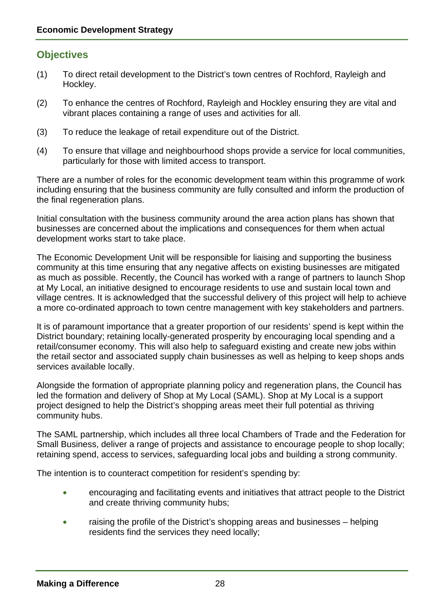# **Objectives**

- (1) To direct retail development to the District's town centres of Rochford, Rayleigh and Hockley.
- (2) To enhance the centres of Rochford, Rayleigh and Hockley ensuring they are vital and vibrant places containing a range of uses and activities for all.
- (3) To reduce the leakage of retail expenditure out of the District.
- (4) To ensure that village and neighbourhood shops provide a service for local communities, particularly for those with limited access to transport.

There are a number of roles for the economic development team within this programme of work including ensuring that the business community are fully consulted and inform the production of the final regeneration plans.

Initial consultation with the business community around the area action plans has shown that businesses are concerned about the implications and consequences for them when actual development works start to take place.

The Economic Development Unit will be responsible for liaising and supporting the business community at this time ensuring that any negative affects on existing businesses are mitigated as much as possible. Recently, the Council has worked with a range of partners to launch Shop at My Local, an initiative designed to encourage residents to use and sustain local town and village centres. It is acknowledged that the successful delivery of this project will help to achieve a more co-ordinated approach to town centre management with key stakeholders and partners.

It is of paramount importance that a greater proportion of our residents' spend is kept within the District boundary; retaining locally-generated prosperity by encouraging local spending and a retail/consumer economy. This will also help to safeguard existing and create new jobs within the retail sector and associated supply chain businesses as well as helping to keep shops ands services available locally.

Alongside the formation of appropriate planning policy and regeneration plans, the Council has led the formation and delivery of Shop at My Local (SAML). Shop at My Local is a support project designed to help the District's shopping areas meet their full potential as thriving community hubs.

The SAML partnership, which includes all three local Chambers of Trade and the Federation for Small Business, deliver a range of projects and assistance to encourage people to shop locally; retaining spend, access to services, safeguarding local jobs and building a strong community.

The intention is to counteract competition for resident's spending by:

- encouraging and facilitating events and initiatives that attract people to the District and create thriving community hubs;
- raising the profile of the District's shopping areas and businesses helping residents find the services they need locally;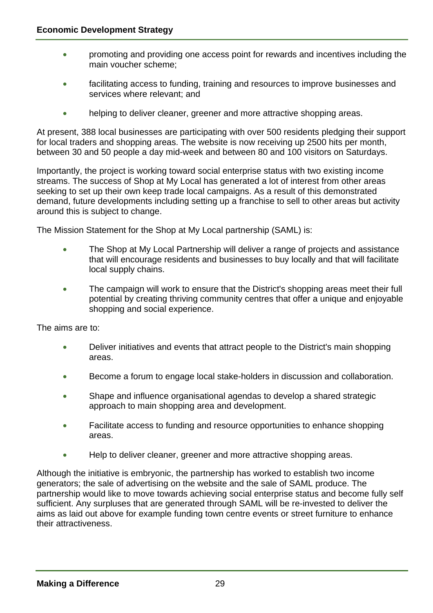- promoting and providing one access point for rewards and incentives including the main voucher scheme;
- facilitating access to funding, training and resources to improve businesses and services where relevant; and
- helping to deliver cleaner, greener and more attractive shopping areas.

At present, 388 local businesses are participating with over 500 residents pledging their support for local traders and shopping areas. The website is now receiving up 2500 hits per month, between 30 and 50 people a day mid-week and between 80 and 100 visitors on Saturdays.

Importantly, the project is working toward social enterprise status with two existing income streams. The success of Shop at My Local has generated a lot of interest from other areas seeking to set up their own keep trade local campaigns. As a result of this demonstrated demand, future developments including setting up a franchise to sell to other areas but activity around this is subject to change.

The Mission Statement for the Shop at My Local partnership (SAML) is:

- The Shop at My Local Partnership will deliver a range of projects and assistance that will encourage residents and businesses to buy locally and that will facilitate local supply chains.
- The campaign will work to ensure that the District's shopping areas meet their full potential by creating thriving community centres that offer a unique and enjoyable shopping and social experience.

The aims are to:

- Deliver initiatives and events that attract people to the District's main shopping areas.
- Become a forum to engage local stake-holders in discussion and collaboration.
- Shape and influence organisational agendas to develop a shared strategic approach to main shopping area and development.
- Facilitate access to funding and resource opportunities to enhance shopping areas.
- Help to deliver cleaner, greener and more attractive shopping areas.

Although the initiative is embryonic, the partnership has worked to establish two income generators; the sale of advertising on the website and the sale of SAML produce. The partnership would like to move towards achieving social enterprise status and become fully self sufficient. Any surpluses that are generated through SAML will be re-invested to deliver the aims as laid out above for example funding town centre events or street furniture to enhance their attractiveness.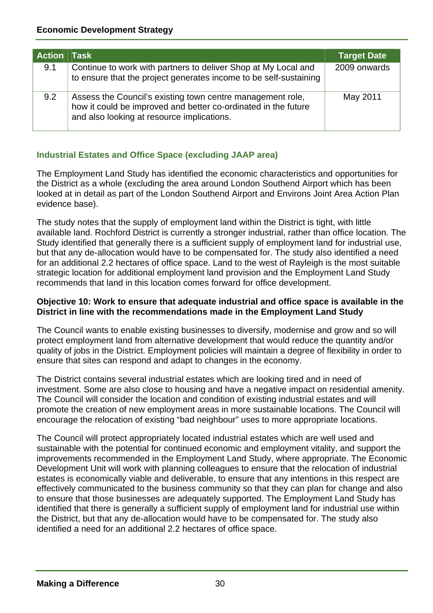| Action   Task |                                                                                                                                                                            | <b>Target Date</b> |
|---------------|----------------------------------------------------------------------------------------------------------------------------------------------------------------------------|--------------------|
| 9.1           | Continue to work with partners to deliver Shop at My Local and<br>to ensure that the project generates income to be self-sustaining                                        | 2009 onwards       |
| 9.2           | Assess the Council's existing town centre management role,<br>how it could be improved and better co-ordinated in the future<br>and also looking at resource implications. | May 2011           |

# **Industrial Estates and Office Space (excluding JAAP area)**

The Employment Land Study has identified the economic characteristics and opportunities for the District as a whole (excluding the area around London Southend Airport which has been looked at in detail as part of the London Southend Airport and Environs Joint Area Action Plan evidence base).

The study notes that the supply of employment land within the District is tight, with little available land. Rochford District is currently a stronger industrial, rather than office location. The Study identified that generally there is a sufficient supply of employment land for industrial use, but that any de-allocation would have to be compensated for. The study also identified a need for an additional 2.2 hectares of office space. Land to the west of Rayleigh is the most suitable strategic location for additional employment land provision and the Employment Land Study recommends that land in this location comes forward for office development.

#### **Objective 10: Work to ensure that adequate industrial and office space is available in the District in line with the recommendations made in the Employment Land Study**

The Council wants to enable existing businesses to diversify, modernise and grow and so will protect employment land from alternative development that would reduce the quantity and/or quality of jobs in the District. Employment policies will maintain a degree of flexibility in order to ensure that sites can respond and adapt to changes in the economy.

The District contains several industrial estates which are looking tired and in need of investment. Some are also close to housing and have a negative impact on residential amenity. The Council will consider the location and condition of existing industrial estates and will promote the creation of new employment areas in more sustainable locations. The Council will encourage the relocation of existing "bad neighbour" uses to more appropriate locations.

The Council will protect appropriately located industrial estates which are well used and sustainable with the potential for continued economic and employment vitality, and support the improvements recommended in the Employment Land Study, where appropriate. The Economic Development Unit will work with planning colleagues to ensure that the relocation of industrial estates is economically viable and deliverable, to ensure that any intentions in this respect are effectively communicated to the business community so that they can plan for change and also to ensure that those businesses are adequately supported. The Employment Land Study has identified that there is generally a sufficient supply of employment land for industrial use within the District, but that any de-allocation would have to be compensated for. The study also identified a need for an additional 2.2 hectares of office space.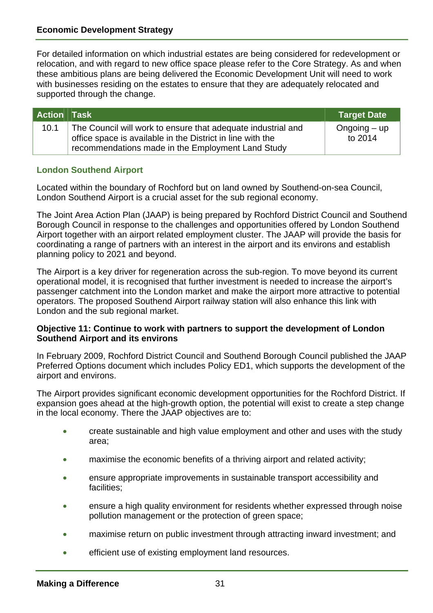supported through the change. For detailed information on which industrial estates are being considered for redevelopment or relocation, and with regard to new office space please refer to the Core Strategy. As and when these ambitious plans are being delivered the Economic Development Unit will need to work with businesses residing on the estates to ensure that they are adequately relocated and

| Action Task |                                                                                                                                                                                 | <b>Target Date</b>           |
|-------------|---------------------------------------------------------------------------------------------------------------------------------------------------------------------------------|------------------------------|
| 10.1        | The Council will work to ensure that adequate industrial and<br>office space is available in the District in line with the<br>recommendations made in the Employment Land Study | $O$ ngoing $-$ up<br>to 2014 |

#### **London Southend Airport**

Located within the boundary of Rochford but on land owned by Southend-on-sea Council, London Southend Airport is a crucial asset for the sub regional economy.

Airport together with an airport related employment cluster. The JAAP will provide the basis for planning policy to 2021 and beyond. The Joint Area Action Plan (JAAP) is being prepared by Rochford District Council and Southend Borough Council in response to the challenges and opportunities offered by London Southend coordinating a range of partners with an interest in the airport and its environs and establish

London and the sub regional market. The Airport is a key driver for regeneration across the sub-region. To move beyond its current operational model, it is recognised that further investment is needed to increase the airport's passenger catchment into the London market and make the airport more attractive to potential operators. The proposed Southend Airport railway station will also enhance this link with

#### **Southend Airport and its environs Objective 11: Continue to work with partners to support the development of London**

airport and environs. In February 2009, Rochford District Council and Southend Borough Council published the JAAP Preferred Options document which includes Policy ED1, which supports the development of the

The Airport provides significant economic development opportunities for the Rochford District. If expansion goes ahead at the high-growth option, the potential will exist to create a step change in the local economy. There the JAAP objectives are to:

- area; create sustainable and high value employment and other and uses with the study
- maximise the economic benefits of a thriving airport and related activity;
- facilities; ensure appropriate improvements in sustainable transport accessibility and
- ensure a high quality environment for residents whether expressed through noise pollution management or the protection of green space;
- maximise return on public investment through attracting inward investment; and
- efficient use of existing employment land resources.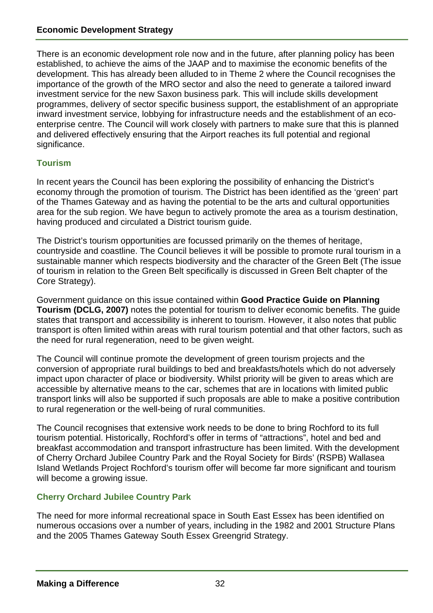There is an economic development role now and in the future, after planning policy has been established, to achieve the aims of the JAAP and to maximise the economic benefits of the development. This has already been alluded to in Theme 2 where the Council recognises the importance of the growth of the MRO sector and also the need to generate a tailored inward investment service for the new Saxon business park. This will include skills development programmes, delivery of sector specific business support, the establishment of an appropriate inward investment service, lobbying for infrastructure needs and the establishment of an ecoenterprise centre. The Council will work closely with partners to make sure that this is planned and delivered effectively ensuring that the Airport reaches its full potential and regional significance.

# **Tourism**

In recent years the Council has been exploring the possibility of enhancing the District's economy through the promotion of tourism. The District has been identified as the 'green' part of the Thames Gateway and as having the potential to be the arts and cultural opportunities area for the sub region. We have begun to actively promote the area as a tourism destination, having produced and circulated a District tourism guide.

The District's tourism opportunities are focussed primarily on the themes of heritage, countryside and coastline. The Council believes it will be possible to promote rural tourism in a sustainable manner which respects biodiversity and the character of the Green Belt (The issue of tourism in relation to the Green Belt specifically is discussed in Green Belt chapter of the Core Strategy).

Government guidance on this issue contained within **Good Practice Guide on Planning Tourism (DCLG, 2007)** notes the potential for tourism to deliver economic benefits. The guide states that transport and accessibility is inherent to tourism. However, it also notes that public transport is often limited within areas with rural tourism potential and that other factors, such as the need for rural regeneration, need to be given weight.

The Council will continue promote the development of green tourism projects and the conversion of appropriate rural buildings to bed and breakfasts/hotels which do not adversely impact upon character of place or biodiversity. Whilst priority will be given to areas which are accessible by alternative means to the car, schemes that are in locations with limited public transport links will also be supported if such proposals are able to make a positive contribution to rural regeneration or the well-being of rural communities.

The Council recognises that extensive work needs to be done to bring Rochford to its full tourism potential. Historically, Rochford's offer in terms of "attractions", hotel and bed and breakfast accommodation and transport infrastructure has been limited. With the development of Cherry Orchard Jubilee Country Park and the Royal Society for Birds' (RSPB) Wallasea Island Wetlands Project Rochford's tourism offer will become far more significant and tourism will become a growing issue.

# **Cherry Orchard Jubilee Country Park**

The need for more informal recreational space in South East Essex has been identified on numerous occasions over a number of years, including in the 1982 and 2001 Structure Plans and the 2005 Thames Gateway South Essex Greengrid Strategy.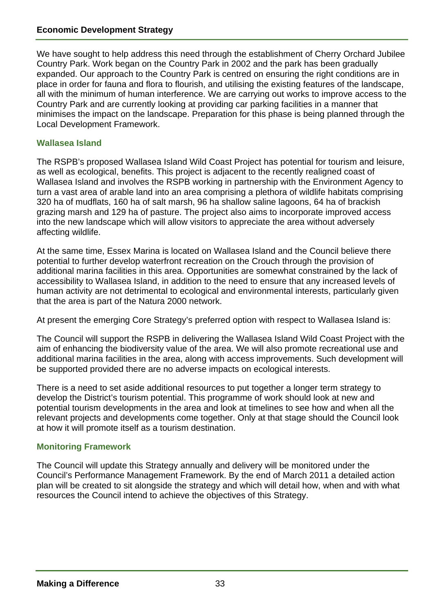We have sought to help address this need through the establishment of Cherry Orchard Jubilee Country Park. Work began on the Country Park in 2002 and the park has been gradually expanded. Our approach to the Country Park is centred on ensuring the right conditions are in place in order for fauna and flora to flourish, and utilising the existing features of the landscape, all with the minimum of human interference. We are carrying out works to improve access to the Country Park and are currently looking at providing car parking facilities in a manner that minimises the impact on the landscape. Preparation for this phase is being planned through the Local Development Framework.

#### **Wallasea Island**

The RSPB's proposed Wallasea Island Wild Coast Project has potential for tourism and leisure, as well as ecological, benefits. This project is adjacent to the recently realigned coast of Wallasea Island and involves the RSPB working in partnership with the Environment Agency to turn a vast area of arable land into an area comprising a plethora of wildlife habitats comprising 320 ha of mudflats, 160 ha of salt marsh, 96 ha shallow saline lagoons, 64 ha of brackish grazing marsh and 129 ha of pasture. The project also aims to incorporate improved access into the new landscape which will allow visitors to appreciate the area without adversely affecting wildlife.

At the same time, Essex Marina is located on Wallasea Island and the Council believe there potential to further develop waterfront recreation on the Crouch through the provision of additional marina facilities in this area. Opportunities are somewhat constrained by the lack of accessibility to Wallasea Island, in addition to the need to ensure that any increased levels of human activity are not detrimental to ecological and environmental interests, particularly given that the area is part of the Natura 2000 network.

At present the emerging Core Strategy's preferred option with respect to Wallasea Island is:

The Council will support the RSPB in delivering the Wallasea Island Wild Coast Project with the aim of enhancing the biodiversity value of the area. We will also promote recreational use and additional marina facilities in the area, along with access improvements. Such development will be supported provided there are no adverse impacts on ecological interests.

There is a need to set aside additional resources to put together a longer term strategy to develop the District's tourism potential. This programme of work should look at new and potential tourism developments in the area and look at timelines to see how and when all the relevant projects and developments come together. Only at that stage should the Council look at how it will promote itself as a tourism destination.

## **Monitoring Framework**

The Council will update this Strategy annually and delivery will be monitored under the Council's Performance Management Framework. By the end of March 2011 a detailed action plan will be created to sit alongside the strategy and which will detail how, when and with what resources the Council intend to achieve the objectives of this Strategy.